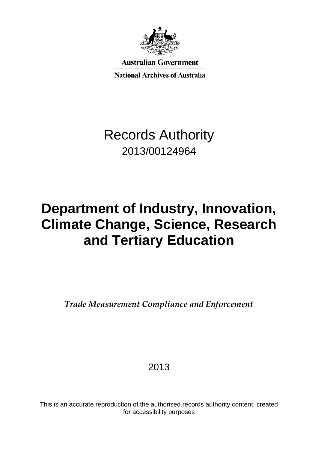

**Australian Government** 

**National Archives of Australia** 

# Records Authority 2013/00124964

# **Department of Industry, Innovation, Climate Change, Science, Research and Tertiary Education**

*Trade Measurement Compliance and Enforcement*

# 2013

This is an accurate reproduction of the authorised records authority content, created for accessibility purposes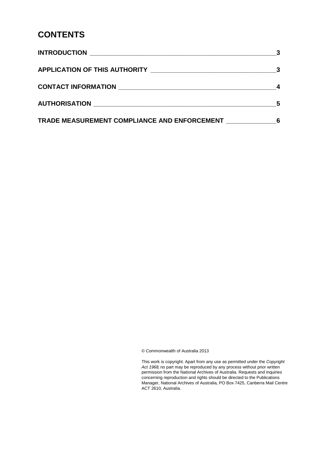#### **CONTENTS**

|                                              | - 3 |
|----------------------------------------------|-----|
| CONTACT INFORMATION                          |     |
|                                              |     |
| TRADE MEASUREMENT COMPLIANCE AND ENFORCEMENT | 6   |

© Commonwealth of Australia 2013

This work is copyright. Apart from any use as permitted under the *Copyright Act 1968,* no part may be reproduced by any process without prior written permission from the National Archives of Australia. Requests and inquiries concerning reproduction and rights should be directed to the Publications Manager, National Archives of Australia, PO Box 7425, Canberra Mail Centre ACT 2610, Australia.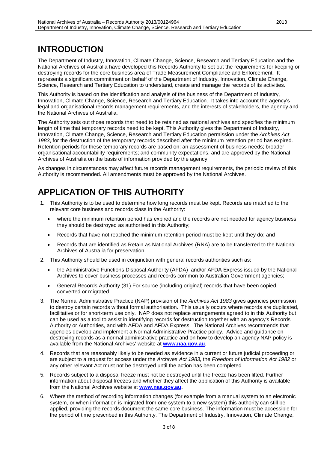### <span id="page-2-0"></span>**INTRODUCTION**

The Department of Industry, Innovation, Climate Change, Science, Research and Tertiary Education and the National Archives of Australia have developed this Records Authority to set out the requirements for keeping or destroying records for the core business area of Trade Measurement Compliance and Enforcement. It represents a significant commitment on behalf of the Department of Industry, Innovation, Climate Change, Science, Research and Tertiary Education to understand, create and manage the records of its activities.

This Authority is based on the identification and analysis of the business of the Department of Industry, Innovation, Climate Change, Science, Research and Tertiary Education. It takes into account the agency's legal and organisational records management requirements, and the interests of stakeholders, the agency and the National Archives of Australia.

The Authority sets out those records that need to be retained as national archives and specifies the minimum length of time that temporary records need to be kept. This Authority gives the Department of Industry, Innovation, Climate Change, Science, Research and Tertiary Education permission under the *Archives Act 1983*, for the destruction of the temporary records described after the minimum retention period has expired. Retention periods for these temporary records are based on: an assessment of business needs; broader organisational accountability requirements; and community expectations, and are approved by the National Archives of Australia on the basis of information provided by the agency.

As changes in circumstances may affect future records management requirements, the periodic review of this Authority is recommended. All amendments must be approved by the National Archives.

#### <span id="page-2-1"></span>**APPLICATION OF THIS AUTHORITY**

- **1.** This Authority is to be used to determine how long records must be kept. Records are matched to the relevant core business and records class in the Authority:
	- where the minimum retention period has expired and the records are not needed for agency business they should be destroyed as authorised in this Authority;
	- Records that have not reached the minimum retention period must be kept until they do; and
	- Records that are identified as Retain as National Archives (RNA) are to be transferred to the National Archives of Australia for preservation.
- 2. This Authority should be used in conjunction with general records authorities such as:
	- the Administrative Functions Disposal Authority (AFDA) and/or AFDA Express issued by the National Archives to cover business processes and records common to Australian Government agencies;
	- General Records Authority (31) For source (including original) records that have been copied, converted or migrated.
- 3. The Normal Administrative Practice (NAP) provision of the *Archives Act 1983* gives agencies permission to destroy certain records without formal authorisation. This usually occurs where records are duplicated, facilitative or for short-term use only. NAP does not replace arrangements agreed to in this Authority but can be used as a tool to assist in identifying records for destruction together with an agency's Records Authority or Authorities, and with AFDA and AFDA Express. The National Archives recommends that agencies develop and implement a Normal Administrative Practice policy. Advice and guidance on destroying records as a normal administrative practice and on how to develop an agency NAP policy is available from the National Archives' website at **[www.naa.gov.au](http://www.naa.gov.au/)**.
- 4. Records that are reasonably likely to be needed as evidence in a current or future judicial proceeding or are subject to a request for access under the *Archives Act 1983,* the *Freedom of Information Act 1982* or any other relevant Act must not be destroyed until the action has been completed.
- 5. Records subject to a disposal freeze must not be destroyed until the freeze has been lifted. Further information about disposal freezes and whether they affect the application of this Authority is available from the National Archives website at **[www.naa.gov.au.](http://www.naa.gov.au/)**
- 6. Where the method of recording information changes (for example from a manual system to an electronic system, or when information is migrated from one system to a new system) this authority can still be applied, providing the records document the same core business. The information must be accessible for the period of time prescribed in this Authority. The Department of Industry, Innovation, Climate Change,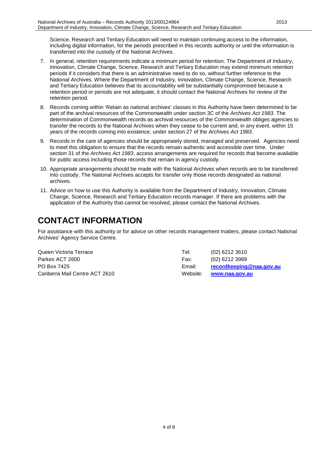Science, Research and Tertiary Education will need to maintain continuing access to the information, including digital information, for the periods prescribed in this records authority or until the information is transferred into the custody of the National Archives.

- 7. In general, retention requirements indicate a minimum period for retention. The Department of Industry, Innovation, Climate Change, Science, Research and Tertiary Education may extend minimum retention periods if it considers that there is an administrative need to do so, without further reference to the National Archives. Where the Department of Industry, Innovation, Climate Change, Science, Research and Tertiary Education believes that its accountability will be substantially compromised because a retention period or periods are not adequate, it should contact the National Archives for review of the retention period.
- 8. Records coming within 'Retain as national archives' classes in this Authority have been determined to be part of the archival resources of the Commonwealth under section 3C of the *Archives Act 1983*. The determination of Commonwealth records as archival resources of the Commonwealth obliges agencies to transfer the records to the National Archives when they cease to be current and, in any event, within 15 years of the records coming into existence, under section 27 of the *Archives Act 1983*.
- 9. Records in the care of agencies should be appropriately stored, managed and preserved. Agencies need to meet this obligation to ensure that the records remain authentic and accessible over time. Under section 31 of the *Archives Act 1983*, access arrangements are required for records that become available for public access including those records that remain in agency custody.
- 10. Appropriate arrangements should be made with the National Archives when records are to be transferred into custody. The National Archives accepts for transfer only those records designated as national archives.
- 11. Advice on how to use this Authority is available from the Department of Industry, Innovation, Climate Change, Science, Research and Tertiary Education records manager. If there are problems with the application of the Authority that cannot be resolved, please contact the National Archives.

#### <span id="page-3-0"></span>**CONTACT INFORMATION**

For assistance with this authority or for advice on other records management matters, please contact National Archives' Agency Service Centre.

| Queen Victoria Terrace        | Tel:     | $(02)$ 6212 3610         |
|-------------------------------|----------|--------------------------|
| Parkes ACT 2600               | Fax:     | (02) 6212 3989           |
| PO Box 7425                   | Email:   | recordkeeping@naa.gov.au |
| Canberra Mail Centre ACT 2610 | Website: | www.naa.gov.au           |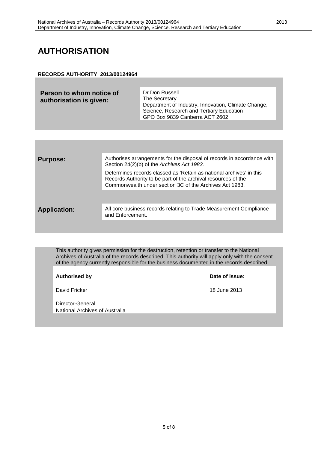### <span id="page-4-0"></span>**AUTHORISATION**

#### **RECORDS AUTHORITY 2013/00124964**

| Person to whom notice of<br>authorisation is given: | Dr Don Russell<br>The Secretary<br>Department of Industry, Innovation, Climate Change,<br>Science, Research and Tertiary Education<br>GPO Box 9839 Canberra ACT 2602 |
|-----------------------------------------------------|----------------------------------------------------------------------------------------------------------------------------------------------------------------------|
|-----------------------------------------------------|----------------------------------------------------------------------------------------------------------------------------------------------------------------------|

| <b>Purpose:</b>     | Authorises arrangements for the disposal of records in accordance with<br>Section 24(2)(b) of the Archives Act 1983.                                                                            |
|---------------------|-------------------------------------------------------------------------------------------------------------------------------------------------------------------------------------------------|
|                     | Determines records classed as 'Retain as national archives' in this<br>Records Authority to be part of the archival resources of the<br>Commonwealth under section 3C of the Archives Act 1983. |
|                     |                                                                                                                                                                                                 |
| <b>Application:</b> | All core business records relating to Trade Measurement Compliance<br>and Enforcement.                                                                                                          |
|                     |                                                                                                                                                                                                 |

This authority gives permission for the destruction, retention or transfer to the National Archives of Australia of the records described. This authority will apply only with the consent of the agency currently responsible for the business documented in the records described.

**Authorised by Date of issue:**

David Fricker 18 June 2013

Director-General National Archives of Australia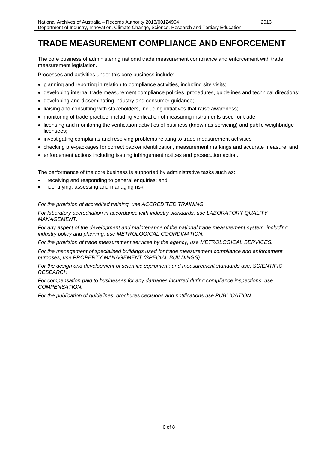## <span id="page-5-0"></span>**TRADE MEASUREMENT COMPLIANCE AND ENFORCEMENT**

2013

The core business of administering national trade measurement compliance and enforcement with trade measurement legislation.

Processes and activities under this core business include:

- planning and reporting in relation to compliance activities, including site visits;
- developing internal trade measurement compliance policies, procedures, guidelines and technical directions;
- developing and disseminating industry and consumer guidance;
- liaising and consulting with stakeholders, including initiatives that raise awareness;
- monitoring of trade practice, including verification of measuring instruments used for trade;
- licensing and monitoring the verification activities of business (known as servicing) and public weighbridge licensees;
- investigating complaints and resolving problems relating to trade measurement activities
- checking pre-packages for correct packer identification, measurement markings and accurate measure; and
- enforcement actions including issuing infringement notices and prosecution action.

The performance of the core business is supported by administrative tasks such as:

- receiving and responding to general enquiries; and
- identifying, assessing and managing risk.

*For the provision of accredited training, use ACCREDITED TRAINING.*

*For laboratory accreditation in accordance with industry standards, use LABORATORY QUALITY MANAGEMENT.*

*For any aspect of the development and maintenance of the national trade measurement system, including industry policy and planning, use METROLOGICAL COORDINATION.*

*For the provision of trade measurement services by the agency, use METROLOGICAL SERVICES.*

*For the management of specialised buildings used for trade measurement compliance and enforcement purposes, use PROPERTY MANAGEMENT (SPECIAL BUILDINGS).*

*For the design and development of scientific equipment; and measurement standards use, SCIENTIFIC RESEARCH.*

*For compensation paid to businesses for any damages incurred during compliance inspections, use COMPENSATION.*

*For the publication of guidelines, brochures decisions and notifications use PUBLICATION.*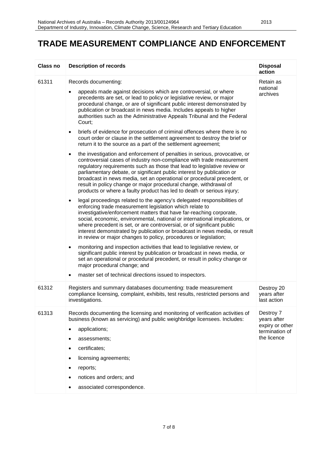#### **TRADE MEASUREMENT COMPLIANCE AND ENFORCEMENT**

| Class no | <b>Description of records</b>                                                                                                                                                                                                                                                                                                                                                                                                                                                                                                                                                                                                                                                                                                                                                                                                                                                                                                                                                                                                                                                                                                                                                                                                                                                                                                                                                                                                                                                                                                                                                                                                                                                                                                                                                                                                                                                                                                                                                                                                                                                                  | <b>Disposal</b><br>action                                                    |
|----------|------------------------------------------------------------------------------------------------------------------------------------------------------------------------------------------------------------------------------------------------------------------------------------------------------------------------------------------------------------------------------------------------------------------------------------------------------------------------------------------------------------------------------------------------------------------------------------------------------------------------------------------------------------------------------------------------------------------------------------------------------------------------------------------------------------------------------------------------------------------------------------------------------------------------------------------------------------------------------------------------------------------------------------------------------------------------------------------------------------------------------------------------------------------------------------------------------------------------------------------------------------------------------------------------------------------------------------------------------------------------------------------------------------------------------------------------------------------------------------------------------------------------------------------------------------------------------------------------------------------------------------------------------------------------------------------------------------------------------------------------------------------------------------------------------------------------------------------------------------------------------------------------------------------------------------------------------------------------------------------------------------------------------------------------------------------------------------------------|------------------------------------------------------------------------------|
| 61311    | Records documenting:<br>appeals made against decisions which are controversial, or where<br>precedents are set, or lead to policy or legislative review, or major<br>procedural change, or are of significant public interest demonstrated by<br>publication or broadcast in news media. Includes appeals to higher<br>authorities such as the Administrative Appeals Tribunal and the Federal<br>Court;<br>briefs of evidence for prosecution of criminal offences where there is no<br>$\bullet$<br>court order or clause in the settlement agreement to destroy the brief or<br>return it to the source as a part of the settlement agreement;<br>the investigation and enforcement of penalties in serious, provocative, or<br>$\bullet$<br>controversial cases of industry non-compliance with trade measurement<br>regulatory requirements such as those that lead to legislative review or<br>parliamentary debate, or significant public interest by publication or<br>broadcast in news media, set an operational or procedural precedent, or<br>result in policy change or major procedural change, withdrawal of<br>products or where a faulty product has led to death or serious injury;<br>legal proceedings related to the agency's delegated responsibilities of<br>$\bullet$<br>enforcing trade measurement legislation which relate to<br>investigative/enforcement matters that have far-reaching corporate,<br>social, economic, environmental, national or international implications, or<br>where precedent is set, or are controversial, or of significant public<br>interest demonstrated by publication or broadcast in news media, or result<br>in review or major changes to policy, procedures or legislation;<br>monitoring and inspection activities that lead to legislative review, or<br>٠<br>significant public interest by publication or broadcast in news media, or<br>set an operational or procedural precedent, or result in policy change or<br>major procedural change; and<br>master set of technical directions issued to inspectors.<br>$\bullet$ | Retain as<br>national<br>archives                                            |
| 61312    | Registers and summary databases documenting: trade measurement<br>compliance licensing, complaint, exhibits, test results, restricted persons and<br>investigations.                                                                                                                                                                                                                                                                                                                                                                                                                                                                                                                                                                                                                                                                                                                                                                                                                                                                                                                                                                                                                                                                                                                                                                                                                                                                                                                                                                                                                                                                                                                                                                                                                                                                                                                                                                                                                                                                                                                           | Destroy 20<br>years after<br>last action                                     |
| 61313    | Records documenting the licensing and monitoring of verification activities of<br>business (known as servicing) and public weighbridge licensees. Includes:<br>applications;<br>assessments;<br>٠<br>certificates;<br>$\bullet$<br>licensing agreements;<br>$\bullet$<br>reports;<br>٠<br>notices and orders; and<br>associated correspondence.                                                                                                                                                                                                                                                                                                                                                                                                                                                                                                                                                                                                                                                                                                                                                                                                                                                                                                                                                                                                                                                                                                                                                                                                                                                                                                                                                                                                                                                                                                                                                                                                                                                                                                                                                | Destroy 7<br>years after<br>expiry or other<br>termination of<br>the licence |